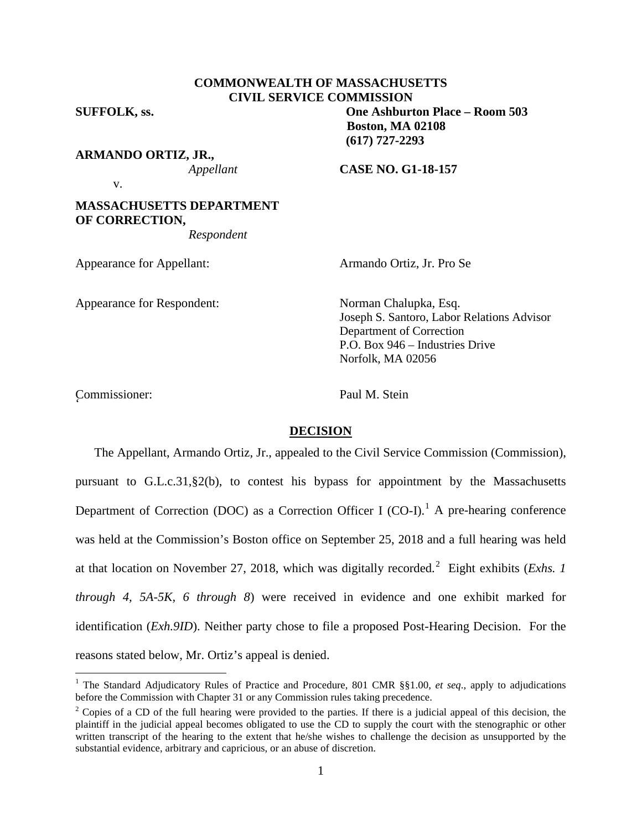## **COMMONWEALTH OF MASSACHUSETTS CIVIL SERVICE COMMISSION**

**SUFFOLK, ss. One Ashburton Place – Room 503**

**ARMANDO ORTIZ, JR.,**

*Appellant* **CASE NO. G1-18-157**

**Boston, MA 02108 (617) 727-2293**

v.

# **MASSACHUSETTS DEPARTMENT OF CORRECTION,**

*Respondent*

Appearance for Appellant: Armando Ortiz, Jr. Pro Se

Appearance for Respondent: Norman Chalupka, Esq.

Joseph S. Santoro, Labor Relations Advisor Department of Correction P.O. Box 946 – Industries Drive Norfolk, MA 02056

Commissioner: Paul M. Stein '

## **DECISION**

The Appellant, Armando Ortiz, Jr., appealed to the Civil Service Commission (Commission), pursuant to G.L.c.31,§2(b), to contest his bypass for appointment by the Massachusetts Department of Correction (DOC) as a Correction Officer I (CO-I).<sup>[1](#page-0-0)</sup> A pre-hearing conference was held at the Commission's Boston office on September 25, 2018 and a full hearing was held at that location on November 27, 2018, which was digitally recorded.[2](#page-0-1) Eight exhibits (*Exhs. 1 through 4, 5A-5K, 6 through 8*) were received in evidence and one exhibit marked for identification (*Exh.9ID*). Neither party chose to file a proposed Post-Hearing Decision. For the reasons stated below, Mr. Ortiz's appeal is denied.

<span id="page-0-0"></span><sup>&</sup>lt;sup>1</sup> The Standard Adjudicatory Rules of Practice and Procedure, 801 CMR §§1.00, et seq., apply to adjudications before the Commission with Chapter 31 or any Commission rules taking precedence.

<span id="page-0-1"></span><sup>&</sup>lt;sup>2</sup> Copies of a CD of the full hearing were provided to the parties. If there is a judicial appeal of this decision, the plaintiff in the judicial appeal becomes obligated to use the CD to supply the court with the stenographic or other written transcript of the hearing to the extent that he/she wishes to challenge the decision as unsupported by the substantial evidence, arbitrary and capricious, or an abuse of discretion.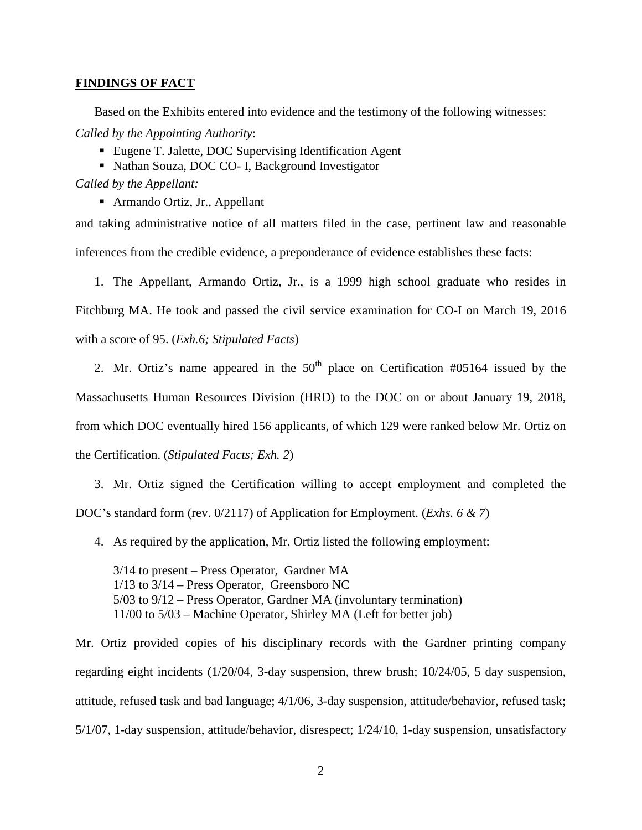#### **FINDINGS OF FACT**

Based on the Exhibits entered into evidence and the testimony of the following witnesses: *Called by the Appointing Authority*:

- Eugene T. Jalette, DOC Supervising Identification Agent
- Nathan Souza, DOC CO- I, Background Investigator

*Called by the Appellant:*

Armando Ortiz, Jr., Appellant

and taking administrative notice of all matters filed in the case, pertinent law and reasonable inferences from the credible evidence, a preponderance of evidence establishes these facts:

- 1. The Appellant, Armando Ortiz, Jr., is a 1999 high school graduate who resides in Fitchburg MA. He took and passed the civil service examination for CO-I on March 19, 2016 with a score of 95. (*Exh.6; Stipulated Facts*)
	- 2. Mr. Ortiz's name appeared in the  $50<sup>th</sup>$  place on Certification #05164 issued by the

Massachusetts Human Resources Division (HRD) to the DOC on or about January 19, 2018, from which DOC eventually hired 156 applicants, of which 129 were ranked below Mr. Ortiz on the Certification. (*Stipulated Facts; Exh. 2*)

3. Mr. Ortiz signed the Certification willing to accept employment and completed the DOC's standard form (rev. 0/2117) of Application for Employment. (*Exhs. 6 & 7*)

4. As required by the application, Mr. Ortiz listed the following employment:

3/14 to present – Press Operator, Gardner MA 1/13 to 3/14 – Press Operator, Greensboro NC 5/03 to 9/12 – Press Operator, Gardner MA (involuntary termination) 11/00 to 5/03 – Machine Operator, Shirley MA (Left for better job)

Mr. Ortiz provided copies of his disciplinary records with the Gardner printing company regarding eight incidents (1/20/04, 3-day suspension, threw brush; 10/24/05, 5 day suspension, attitude, refused task and bad language; 4/1/06, 3-day suspension, attitude/behavior, refused task; 5/1/07, 1-day suspension, attitude/behavior, disrespect; 1/24/10, 1-day suspension, unsatisfactory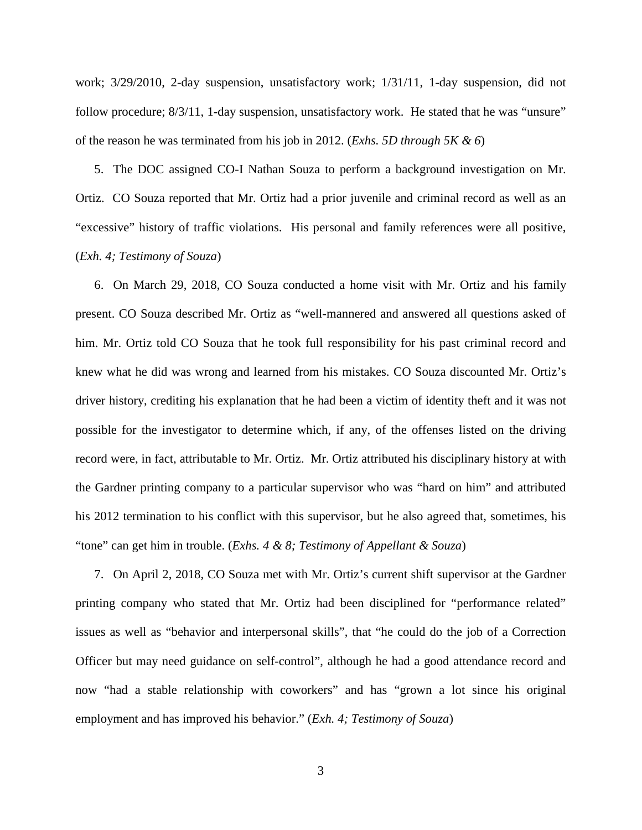work; 3/29/2010, 2-day suspension, unsatisfactory work; 1/31/11, 1-day suspension, did not follow procedure; 8/3/11, 1-day suspension, unsatisfactory work. He stated that he was "unsure" of the reason he was terminated from his job in 2012. (*Exhs. 5D through 5K & 6*)

5. The DOC assigned CO-I Nathan Souza to perform a background investigation on Mr. Ortiz. CO Souza reported that Mr. Ortiz had a prior juvenile and criminal record as well as an "excessive" history of traffic violations. His personal and family references were all positive, (*Exh. 4; Testimony of Souza*)

6. On March 29, 2018, CO Souza conducted a home visit with Mr. Ortiz and his family present. CO Souza described Mr. Ortiz as "well-mannered and answered all questions asked of him. Mr. Ortiz told CO Souza that he took full responsibility for his past criminal record and knew what he did was wrong and learned from his mistakes. CO Souza discounted Mr. Ortiz's driver history, crediting his explanation that he had been a victim of identity theft and it was not possible for the investigator to determine which, if any, of the offenses listed on the driving record were, in fact, attributable to Mr. Ortiz. Mr. Ortiz attributed his disciplinary history at with the Gardner printing company to a particular supervisor who was "hard on him" and attributed his 2012 termination to his conflict with this supervisor, but he also agreed that, sometimes, his "tone" can get him in trouble. (*Exhs. 4 & 8; Testimony of Appellant & Souza*)

7. On April 2, 2018, CO Souza met with Mr. Ortiz's current shift supervisor at the Gardner printing company who stated that Mr. Ortiz had been disciplined for "performance related" issues as well as "behavior and interpersonal skills", that "he could do the job of a Correction Officer but may need guidance on self-control", although he had a good attendance record and now "had a stable relationship with coworkers" and has "grown a lot since his original employment and has improved his behavior." (*Exh. 4; Testimony of Souza*)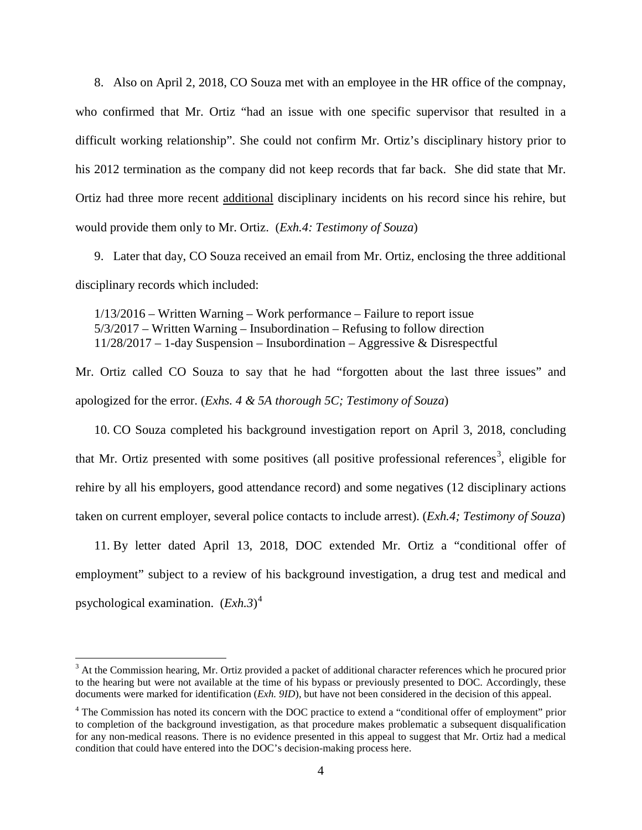8. Also on April 2, 2018, CO Souza met with an employee in the HR office of the compnay, who confirmed that Mr. Ortiz "had an issue with one specific supervisor that resulted in a difficult working relationship". She could not confirm Mr. Ortiz's disciplinary history prior to his 2012 termination as the company did not keep records that far back. She did state that Mr. Ortiz had three more recent additional disciplinary incidents on his record since his rehire, but would provide them only to Mr. Ortiz. (*Exh.4: Testimony of Souza*)

9. Later that day, CO Souza received an email from Mr. Ortiz, enclosing the three additional disciplinary records which included:

1/13/2016 – Written Warning – Work performance – Failure to report issue 5/3/2017 – Written Warning – Insubordination – Refusing to follow direction 11/28/2017 – 1-day Suspension – Insubordination – Aggressive & Disrespectful

Mr. Ortiz called CO Souza to say that he had "forgotten about the last three issues" and apologized for the error. (*Exhs. 4 & 5A thorough 5C; Testimony of Souza*)

10. CO Souza completed his background investigation report on April 3, 2018, concluding that Mr. Ortiz presented with some positives (all positive professional references<sup>[3](#page-3-0)</sup>, eligible for rehire by all his employers, good attendance record) and some negatives (12 disciplinary actions taken on current employer, several police contacts to include arrest). (*Exh.4; Testimony of Souza*)

11. By letter dated April 13, 2018, DOC extended Mr. Ortiz a "conditional offer of employment" subject to a review of his background investigation, a drug test and medical and psychological examination. (*Exh.3*) [4](#page-3-1)

<span id="page-3-0"></span><sup>&</sup>lt;sup>3</sup> At the Commission hearing, Mr. Ortiz provided a packet of additional character references which he procured prior to the hearing but were not available at the time of his bypass or previously presented to DOC. Accordingly, these documents were marked for identification (*Exh. 9ID*), but have not been considered in the decision of this appeal.

<span id="page-3-1"></span><sup>&</sup>lt;sup>4</sup> The Commission has noted its concern with the DOC practice to extend a "conditional offer of employment" prior to completion of the background investigation, as that procedure makes problematic a subsequent disqualification for any non-medical reasons. There is no evidence presented in this appeal to suggest that Mr. Ortiz had a medical condition that could have entered into the DOC's decision-making process here.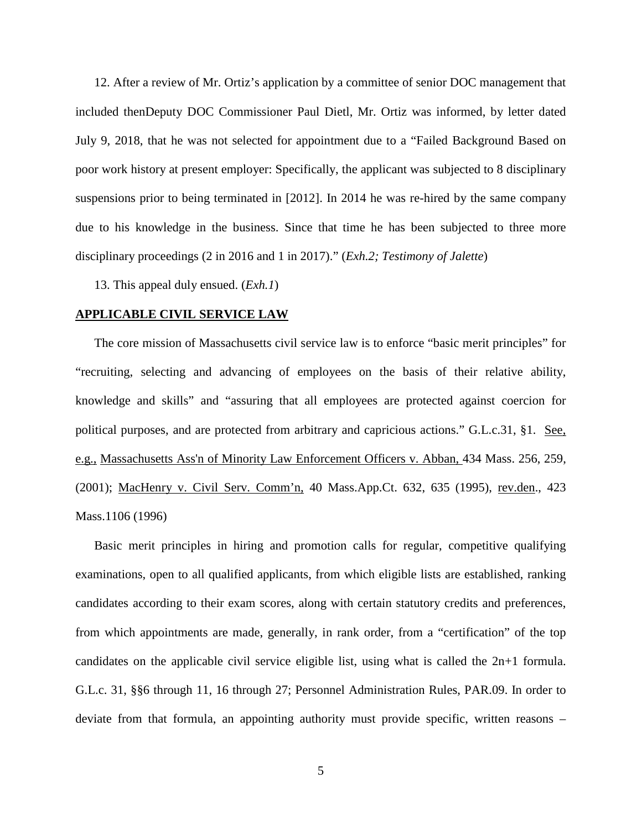12. After a review of Mr. Ortiz's application by a committee of senior DOC management that included thenDeputy DOC Commissioner Paul Dietl, Mr. Ortiz was informed, by letter dated July 9, 2018, that he was not selected for appointment due to a "Failed Background Based on poor work history at present employer: Specifically, the applicant was subjected to 8 disciplinary suspensions prior to being terminated in [2012]. In 2014 he was re-hired by the same company due to his knowledge in the business. Since that time he has been subjected to three more disciplinary proceedings (2 in 2016 and 1 in 2017)." (*Exh.2; Testimony of Jalette*)

13. This appeal duly ensued. (*Exh.1*)

#### **APPLICABLE CIVIL SERVICE LAW**

The core mission of Massachusetts civil service law is to enforce "basic merit principles" for "recruiting, selecting and advancing of employees on the basis of their relative ability, knowledge and skills" and "assuring that all employees are protected against coercion for political purposes, and are protected from arbitrary and capricious actions." G.L.c.31, §1. See, e.g., [Massachusetts Ass'n of Minority Law Enforcement Officers v. Abban,](http://web2.westlaw.com/find/default.wl?mt=Massachusetts&db=578&rs=WLW15.04&tc=-1&rp=%2ffind%2fdefault.wl&findtype=Y&ordoc=2029136022&serialnum=2001441097&vr=2.0&fn=_top&sv=Split&tf=-1&pbc=70F732C1&utid=1) 434 Mass. 256, 259, [\(2001\);](http://web2.westlaw.com/find/default.wl?mt=Massachusetts&db=578&rs=WLW15.04&tc=-1&rp=%2ffind%2fdefault.wl&findtype=Y&ordoc=2029136022&serialnum=2001441097&vr=2.0&fn=_top&sv=Split&tf=-1&pbc=70F732C1&utid=1) MacHenry v. Civil Serv. Comm'n, 40 Mass.App.Ct. 632, 635 (1995), rev.den., 423 Mass.1106 (1996)

Basic merit principles in hiring and promotion calls for regular, competitive qualifying examinations, open to all qualified applicants, from which eligible lists are established, ranking candidates according to their exam scores, along with certain statutory credits and preferences, from which appointments are made, generally, in rank order, from a "certification" of the top candidates on the applicable civil service eligible list, using what is called the 2n+1 formula. G.L.c. 31, §§6 through 11, 16 through 27; Personnel Administration Rules, PAR.09. In order to deviate from that formula, an appointing authority must provide specific, written reasons –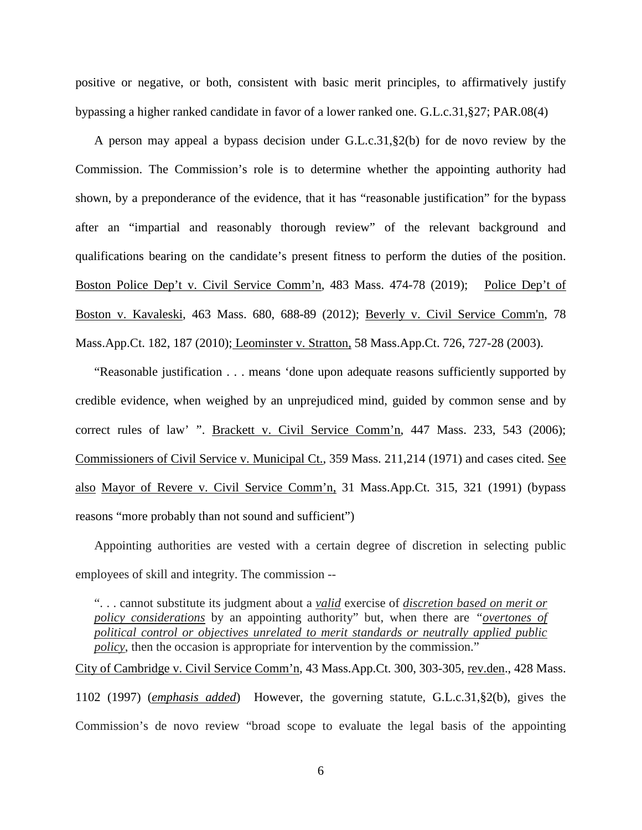positive or negative, or both, consistent with basic merit principles, to affirmatively justify bypassing a higher ranked candidate in favor of a lower ranked one. G.L.c.31,§27; PAR.08(4)

A person may appeal a bypass decision under G.L.c.31,§2(b) for de novo review by the Commission. The Commission's role is to determine whether the appointing authority had shown, by a preponderance of the evidence, that it has "reasonable justification" for the bypass after an "impartial and reasonably thorough review" of the relevant background and qualifications bearing on the candidate's present fitness to perform the duties of the position. Boston Police Dep't v. Civil Service Comm'n, 483 Mass. 474-78 (2019); Police Dep't of Boston v. Kavaleski, 463 Mass. 680, 688-89 (2012); [Beverly v. Civil Service Comm'n, 78](http://web2.westlaw.com/find/default.wl?mt=Massachusetts&db=578&rs=WLW15.04&tc=-1&rp=%2ffind%2fdefault.wl&findtype=Y&ordoc=2029136022&serialnum=2023501172&vr=2.0&fn=_top&sv=Split&tf=-1&pbc=70F732C1&utid=1)  [Mass.App.Ct. 182, 187 \(2010\);](http://web2.westlaw.com/find/default.wl?mt=Massachusetts&db=578&rs=WLW15.04&tc=-1&rp=%2ffind%2fdefault.wl&findtype=Y&ordoc=2029136022&serialnum=2023501172&vr=2.0&fn=_top&sv=Split&tf=-1&pbc=70F732C1&utid=1) Leominster v. Stratton, 58 Mass.App.Ct. 726, 727-28 (2003).

"Reasonable justification . . . means 'done upon adequate reasons sufficiently supported by credible evidence, when weighed by an unprejudiced mind, guided by common sense and by correct rules of law' ". Brackett v. Civil Service Comm'n, 447 Mass. 233, 543 (2006); Commissioners of Civil Service v. Municipal Ct., 359 Mass. 211,214 (1971) and cases cited. See also Mayor of Revere v. Civil Service Comm'n, 31 Mass.App.Ct. 315, 321 (1991) (bypass reasons "more probably than not sound and sufficient")

Appointing authorities are vested with a certain degree of discretion in selecting public employees of skill and integrity. The commission --

". . . cannot substitute its judgment about a *valid* exercise of *discretion based on merit or policy considerations* by an appointing authority" but, when there are *"overtones of political control or objectives unrelated to merit standards or neutrally applied public policy*, then the occasion is appropriate for intervention by the commission."

City of Cambridge v. Civil Service Comm'n, 43 Mass.App.Ct. 300, 303-305, rev.den., 428 Mass. 1102 (1997) (*emphasis added*) However, the governing statute, [G.L.c.31,§2\(b\),](https://1.next.westlaw.com/Link/Document/FullText?findType=L&pubNum=1000042&cite=MAST31S2&originatingDoc=Ib21af0ded3bd11d99439b076ef9ec4de&refType=LQ&originationContext=document&transitionType=DocumentItem&contextData=(sc.History*oc.UserEnteredCitation)) gives the Commission's de novo review "broad scope to evaluate the legal basis of the appointing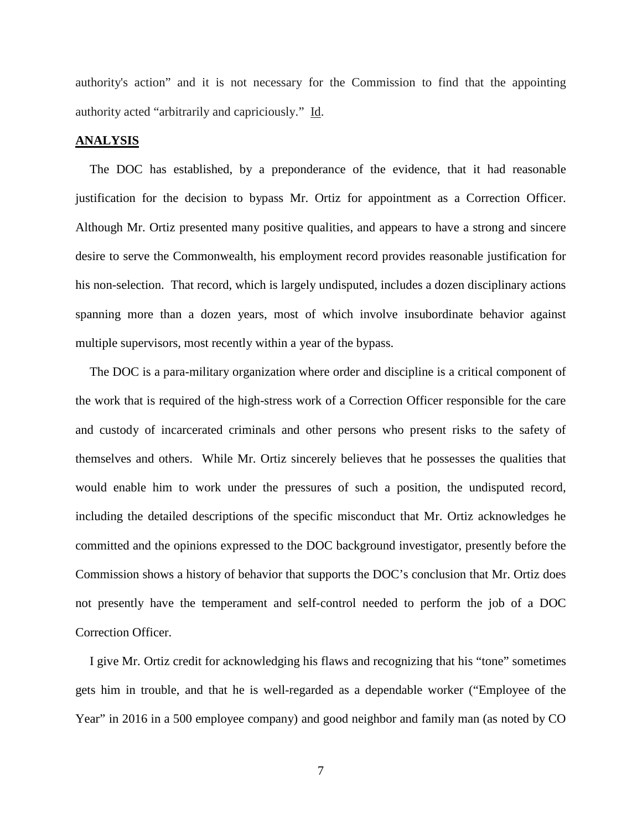authority's action" and it is not necessary for the Commission to find that the appointing authority acted "arbitrarily and capriciously." Id.

#### **ANALYSIS**

The DOC has established, by a preponderance of the evidence, that it had reasonable justification for the decision to bypass Mr. Ortiz for appointment as a Correction Officer. Although Mr. Ortiz presented many positive qualities, and appears to have a strong and sincere desire to serve the Commonwealth, his employment record provides reasonable justification for his non-selection. That record, which is largely undisputed, includes a dozen disciplinary actions spanning more than a dozen years, most of which involve insubordinate behavior against multiple supervisors, most recently within a year of the bypass.

The DOC is a para-military organization where order and discipline is a critical component of the work that is required of the high-stress work of a Correction Officer responsible for the care and custody of incarcerated criminals and other persons who present risks to the safety of themselves and others. While Mr. Ortiz sincerely believes that he possesses the qualities that would enable him to work under the pressures of such a position, the undisputed record, including the detailed descriptions of the specific misconduct that Mr. Ortiz acknowledges he committed and the opinions expressed to the DOC background investigator, presently before the Commission shows a history of behavior that supports the DOC's conclusion that Mr. Ortiz does not presently have the temperament and self-control needed to perform the job of a DOC Correction Officer.

I give Mr. Ortiz credit for acknowledging his flaws and recognizing that his "tone" sometimes gets him in trouble, and that he is well-regarded as a dependable worker ("Employee of the Year" in 2016 in a 500 employee company) and good neighbor and family man (as noted by CO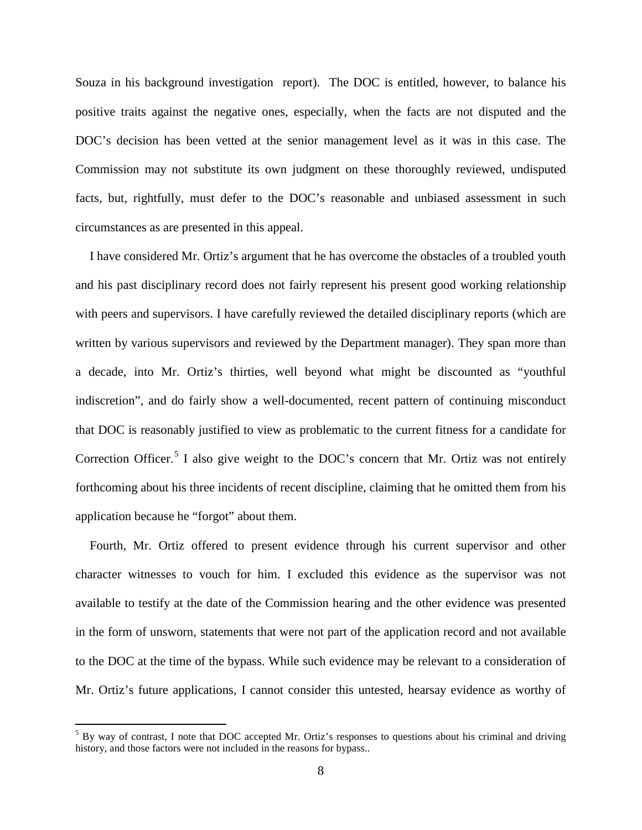Souza in his background investigation report). The DOC is entitled, however, to balance his positive traits against the negative ones, especially, when the facts are not disputed and the DOC's decision has been vetted at the senior management level as it was in this case. The Commission may not substitute its own judgment on these thoroughly reviewed, undisputed facts, but, rightfully, must defer to the DOC's reasonable and unbiased assessment in such circumstances as are presented in this appeal.

I have considered Mr. Ortiz's argument that he has overcome the obstacles of a troubled youth and his past disciplinary record does not fairly represent his present good working relationship with peers and supervisors. I have carefully reviewed the detailed disciplinary reports (which are written by various supervisors and reviewed by the Department manager). They span more than a decade, into Mr. Ortiz's thirties, well beyond what might be discounted as "youthful indiscretion", and do fairly show a well-documented, recent pattern of continuing misconduct that DOC is reasonably justified to view as problematic to the current fitness for a candidate for Correction Officer.<sup>[5](#page-7-0)</sup> I also give weight to the DOC's concern that Mr. Ortiz was not entirely forthcoming about his three incidents of recent discipline, claiming that he omitted them from his application because he "forgot" about them.

Fourth, Mr. Ortiz offered to present evidence through his current supervisor and other character witnesses to vouch for him. I excluded this evidence as the supervisor was not available to testify at the date of the Commission hearing and the other evidence was presented in the form of unsworn, statements that were not part of the application record and not available to the DOC at the time of the bypass. While such evidence may be relevant to a consideration of Mr. Ortiz's future applications, I cannot consider this untested, hearsay evidence as worthy of

<span id="page-7-0"></span> $5$  By way of contrast, I note that DOC accepted Mr. Ortiz's responses to questions about his criminal and driving history, and those factors were not included in the reasons for bypass..